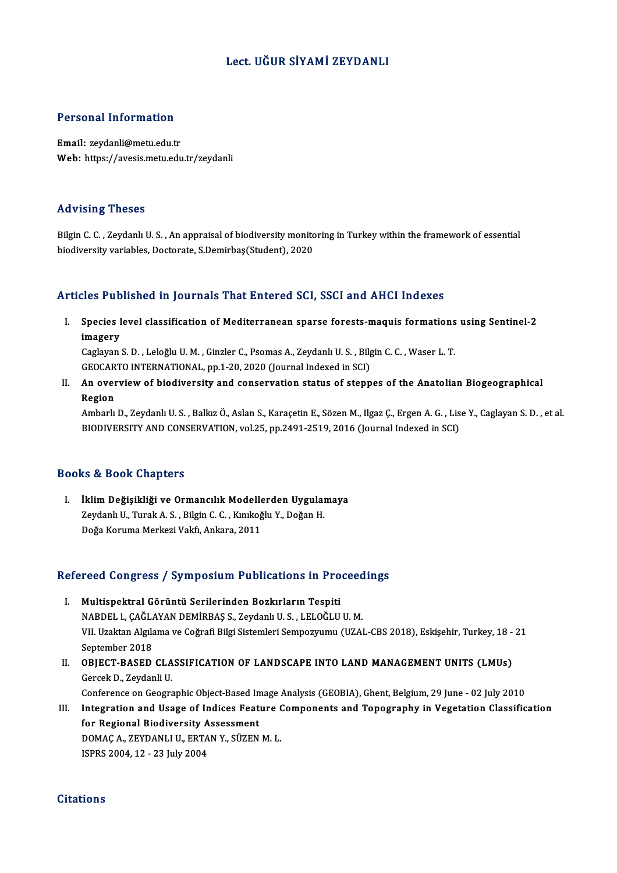## Lect. UĞUR SİYAMİ ZEYDANLI

## Personal Information

Email: zeydanli@metu.edu.tr Web: https://avesis.metu.edu.tr/zeydanli

## Advising Theses

Advising Theses<br>Bilgin C. C. , Zeydanlı U. S. , An appraisal of biodiversity monitoring in Turkey within the framework of essential<br>biodiversity variables, Desterate, S.Demirbas(Student), 2020 raa vasing i 110500<br>Bilgin C. C. , Zeydanlı U. S. , An appraisal of biodiversity monito<br>biodiversity variables, Doctorate, S.Demirbaş(Student), 2020

## biodiversity variables, Doctorate, S.Demirbaş(Student), 2020<br>Articles Published in Journals That Entered SCI, SSCI and AHCI Indexes

rticles Published in Journals That Entered SCI, SSCI and AHCI Indexes<br>I. Species level classification of Mediterranean sparse forests-maquis formations using Sentinel-2<br>imagany sies i distri<br>Species l<br>Coslavan Species level classification of Mediterranean sparse forests-maquis formations<br>imagery<br>Caglayan S. D. , Leloğlu U. M. , Ginzler C., Psomas A., Zeydanlı U. S. , Bilgin C. C. , Waser L. T.<br>CEOCAPTO INTERNATIONAL, pp.1.20.202

imagery<br>Caglayan S. D. , Leloğlu U. M. , Ginzler C., Psomas A., Zeydanlı U. S. , Bilg<br>GEOCARTO INTERNATIONAL, pp.1-20, 2020 (Journal Indexed in SCI)<br>An everwiew of biodiversity and conservation status of stenn

Caglayan S. D. , Leloğlu U. M. , Ginzler C., Psomas A., Zeydanlı U. S. , Bilgin C. C. , Waser L. T.<br>GEOCARTO INTERNATIONAL, pp.1-20, 2020 (Journal Indexed in SCI)<br>II. An overview of biodiversity and conservation status of GEOCAR<br>**An over<br>Region** An overview of biodiversity and conservation status of steppes of the Anatolian Biogeographical<br>Region<br>Ambarlı D., Zeydanlı U. S. , Balkız Ö., Aslan S., Karaçetin E., Sözen M., Ilgaz Ç., Ergen A. G. , Lise Y., Caglayan S.

Region<br>Ambarlı D., Zeydanlı U. S. , Balkız Ö., Aslan S., Karaçetin E., Sözen M., Ilgaz Ç., Ergen A. G. , Lis<br>BIODIVERSITY AND CONSERVATION, vol.25, pp.2491-2519, 2016 (Journal Indexed in SCI) BIODIVERSITY AND CONSERVATION, vol.25, pp.2491-2519, 2016 (Journal Indexed in SCI)<br>Books & Book Chapters

I. İklim Değişikliği ve Ormancılık Modellerden Uygulamaya ze & Boon Ghapesis<br>İklim Değişikliği ve Ormancılık Modellerden Uygulaı<br>Zeydanlı U., Turak A. S. , Bilgin C. C. , Kınıkoğlu Y., Doğan H.<br>Doğa Koruma Markazi Valtî, Ankara 2011 İklim D<mark>eğişikliği ve Ormancılık Modelle</mark><br>Zeydanlı U., Turak A. S. , Bilgin C. C. , Kınıkoğ<br>Doğa Koruma Merkezi Vakfı, Ankara, 2011

# Doga Koruma Merkezi vakii, Ankara, 2011<br>Refereed Congress / Symposium Publications in Proceedings

- efereed Congress / Symposium Publications in Pro<br>I. Multispektral Görüntü Serilerinden Bozkırların Tespiti<br>NAPDELL CAČLAYAN DEMİRRAS S. Zeydanlı U.S. LELOČLU NUCU CONSTESS 7 DJ INPOSIUM TUBILERISMEN IN TTOCCCU<br>Multispektral Görüntü Serilerinden Bozkırların Tespiti<br>NABDEL l., ÇAĞLAYAN DEMİRBAŞ S., Zeydanlı U. S., LELOĞLU U. M.<br>VIL Uraltan Alrılama ve Coğrafi Bilgi Sistemleri Sem Multispektral Görüntü Serilerinden Bozkırların Tespiti<br>NABDEL I., ÇAĞLAYAN DEMİRBAŞ S., Zeydanlı U. S. , LELOĞLU U. M.<br>VII. Uzaktan Algılama ve Coğrafi Bilgi Sistemleri Sempozyumu (UZAL-CBS 2018), Eskişehir, Turkey, 18 - 2 NABDEL 1., ÇAĞL*ı*<br>VII. Uzaktan Algıla<br>September 2018<br>OPIECT PASED VII. Uzaktan Algılama ve Coğrafi Bilgi Sistemleri Sempozyumu (UZAL-CBS 2018), Eskişehir, Turkey, 18 -<br>September 2018<br>II. OBJECT-BASED CLASSIFICATION OF LANDSCAPE INTO LAND MANAGEMENT UNITS (LMUs)
- September 2018<br>**OBJECT-BASED CLA**<br>Gercek D., Zeydanli U.<br>Conference on Ceogra OBJECT-BASED CLASSIFICATION OF LANDSCAPE INTO LAND MANAGEMENT UNITS (LMUs)<br>Gercek D., Zeydanli U.<br>Conference on Geographic Object-Based Image Analysis (GEOBIA), Ghent, Belgium, 29 June - 02 July 2010<br>Integration and Heage

Gercek D., Zeydanli U.<br>Conference on Geographic Object-Based Image Analysis (GEOBIA), Ghent, Belgium, 29 June - 02 July 2010<br>III. Integration and Usage of Indices Feature Components and Topography in Vegetation Classificat Conference on Geographic Object-Based In<br>Integration and Usage of Indices Feat<br>for Regional Biodiversity Assessment<br>DOMAC A ZEVDANLLU EPTAN V SÜZEN Integration and Usage of Indices Feature (<br>for Regional Biodiversity Assessment<br>DOMAÇ A., ZEYDANLI U., ERTAN Y., SÜZEN M. L.<br>ISPPS 2004-12 - 22 July 2004 for Regional Biodiversity Assessment<br>DOMAÇ A., ZEYDANLI U., ERTAN Y., SÜZEN M. L.<br>ISPRS 2004, 12 - 23 July 2004

## **Citations**